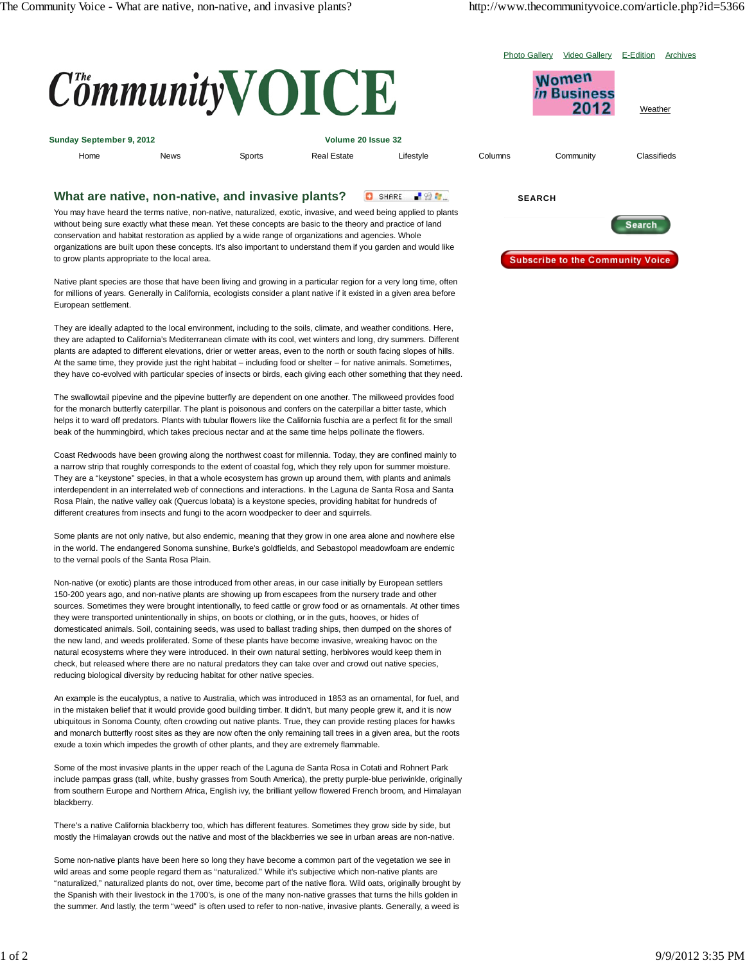|                          | E-Edition<br><b>Video Gallerv</b><br><b>Photo Gallery</b><br>$Commu$ nity $\bf VOICE$<br>Women<br>in Rusiness<br>2012 |        |                    |           |         |           | Archives<br>Weather |  |
|--------------------------|-----------------------------------------------------------------------------------------------------------------------|--------|--------------------|-----------|---------|-----------|---------------------|--|
| Sunday September 9, 2012 |                                                                                                                       |        | Volume 20 Issue 32 |           |         |           |                     |  |
| Home                     | <b>News</b>                                                                                                           | Sports | <b>Real Estate</b> | Lifestyle | Columns | Community | Classifieds         |  |
|                          |                                                                                                                       |        |                    |           |         |           |                     |  |

## **What are native, non-native, and invasive plants?** C SHARE BON

You may have heard the terms native, non-native, naturalized, exotic, invasive, and weed being applied to plants without being sure exactly what these mean. Yet these concepts are basic to the theory and practice of land conservation and habitat restoration as applied by a wide range of organizations and agencies. Whole organizations are built upon these concepts. It's also important to understand them if you garden and would like to grow plants appropriate to the local area.

Native plant species are those that have been living and growing in a particular region for a very long time, often for millions of years. Generally in California, ecologists consider a plant native if it existed in a given area before European settlement.

They are ideally adapted to the local environment, including to the soils, climate, and weather conditions. Here, they are adapted to California's Mediterranean climate with its cool, wet winters and long, dry summers. Different plants are adapted to different elevations, drier or wetter areas, even to the north or south facing slopes of hills. At the same time, they provide just the right habitat – including food or shelter – for native animals. Sometimes, they have co-evolved with particular species of insects or birds, each giving each other something that they need.

The swallowtail pipevine and the pipevine butterfly are dependent on one another. The milkweed provides food for the monarch butterfly caterpillar. The plant is poisonous and confers on the caterpillar a bitter taste, which helps it to ward off predators. Plants with tubular flowers like the California fuschia are a perfect fit for the small beak of the hummingbird, which takes precious nectar and at the same time helps pollinate the flowers.

Coast Redwoods have been growing along the northwest coast for millennia. Today, they are confined mainly to a narrow strip that roughly corresponds to the extent of coastal fog, which they rely upon for summer moisture. They are a "keystone" species, in that a whole ecosystem has grown up around them, with plants and animals interdependent in an interrelated web of connections and interactions. In the Laguna de Santa Rosa and Santa Rosa Plain, the native valley oak (Quercus lobata) is a keystone species, providing habitat for hundreds of different creatures from insects and fungi to the acorn woodpecker to deer and squirrels.

Some plants are not only native, but also endemic, meaning that they grow in one area alone and nowhere else in the world. The endangered Sonoma sunshine, Burke's goldfields, and Sebastopol meadowfoam are endemic to the vernal pools of the Santa Rosa Plain.

Non-native (or exotic) plants are those introduced from other areas, in our case initially by European settlers 150-200 years ago, and non-native plants are showing up from escapees from the nursery trade and other sources. Sometimes they were brought intentionally, to feed cattle or grow food or as ornamentals. At other times they were transported unintentionally in ships, on boots or clothing, or in the guts, hooves, or hides of domesticated animals. Soil, containing seeds, was used to ballast trading ships, then dumped on the shores of the new land, and weeds proliferated. Some of these plants have become invasive, wreaking havoc on the natural ecosystems where they were introduced. In their own natural setting, herbivores would keep them in check, but released where there are no natural predators they can take over and crowd out native species, reducing biological diversity by reducing habitat for other native species.

An example is the eucalyptus, a native to Australia, which was introduced in 1853 as an ornamental, for fuel, and in the mistaken belief that it would provide good building timber. It didn't, but many people grew it, and it is now ubiquitous in Sonoma County, often crowding out native plants. True, they can provide resting places for hawks and monarch butterfly roost sites as they are now often the only remaining tall trees in a given area, but the roots exude a toxin which impedes the growth of other plants, and they are extremely flammable.

Some of the most invasive plants in the upper reach of the Laguna de Santa Rosa in Cotati and Rohnert Park include pampas grass (tall, white, bushy grasses from South America), the pretty purple-blue periwinkle, originally from southern Europe and Northern Africa, English ivy, the brilliant yellow flowered French broom, and Himalayan blackberry.

There's a native California blackberry too, which has different features. Sometimes they grow side by side, but mostly the Himalayan crowds out the native and most of the blackberries we see in urban areas are non-native.

Some non-native plants have been here so long they have become a common part of the vegetation we see in wild areas and some people regard them as "naturalized." While it's subjective which non-native plants are "naturalized," naturalized plants do not, over time, become part of the native flora. Wild oats, originally brought by the Spanish with their livestock in the 1700's, is one of the many non-native grasses that turns the hills golden in the summer. And lastly, the term "weed" is often used to refer to non-native, invasive plants. Generally, a weed is